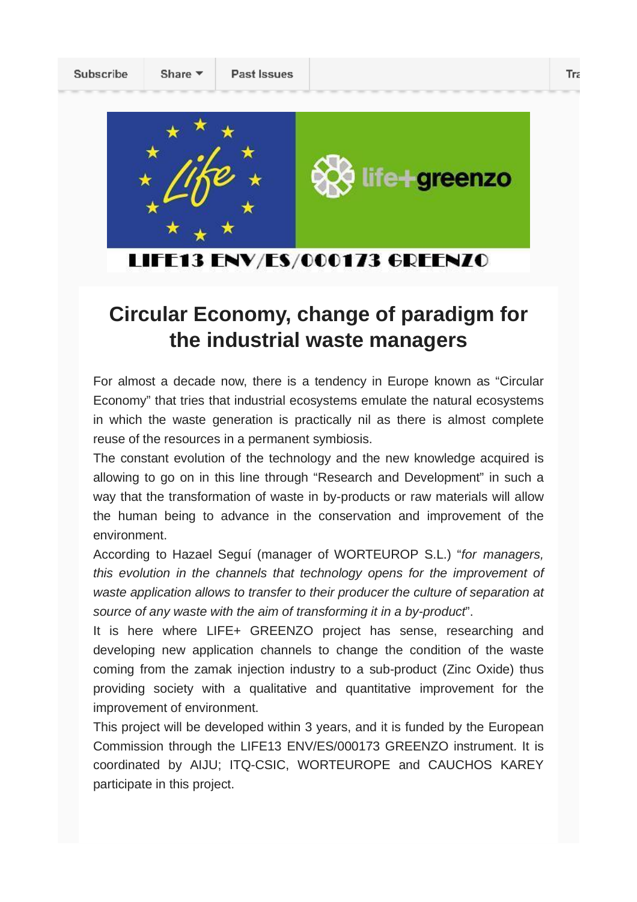Share v



LIFE13 ENV/ES/000173 GREENZO

## **Circular Economy, change of paradigm for the industrial waste managers**

For almost a decade now, there is a tendency in Europe known as "Circular Economy" that tries that industrial ecosystems emulate the natural ecosystems in which the waste generation is practically nil as there is almost complete reuse of the resources in a permanent symbiosis.

The constant evolution of the technology and the new knowledge acquired is allowing to go on in this line through "Research and Development" in such a way that the transformation of waste in by-products or raw materials will allow the human being to advance in the conservation and improvement of the environment.

According to Hazael Seguí (manager of WORTEUROP S.L.) "*for managers, this evolution in the channels that technology opens for the improvement of waste application allows to transfer to their producer the culture of separation at source of any waste with the aim of transforming it in a by-product*".

It is here where LIFE+ GREENZO project has sense, researching and developing new application channels to change the condition of the waste coming from the zamak injection industry to a sub-product (Zinc Oxide) thus providing society with a qualitative and quantitative improvement for the improvement of environment.

This project will be developed within 3 years, and it is funded by the European Commission through the LIFE13 ENV/ES/000173 GREENZO instrument. It is coordinated by AIJU; ITQ-CSIC, WORTEUROPE and CAUCHOS KAREY participate in this project.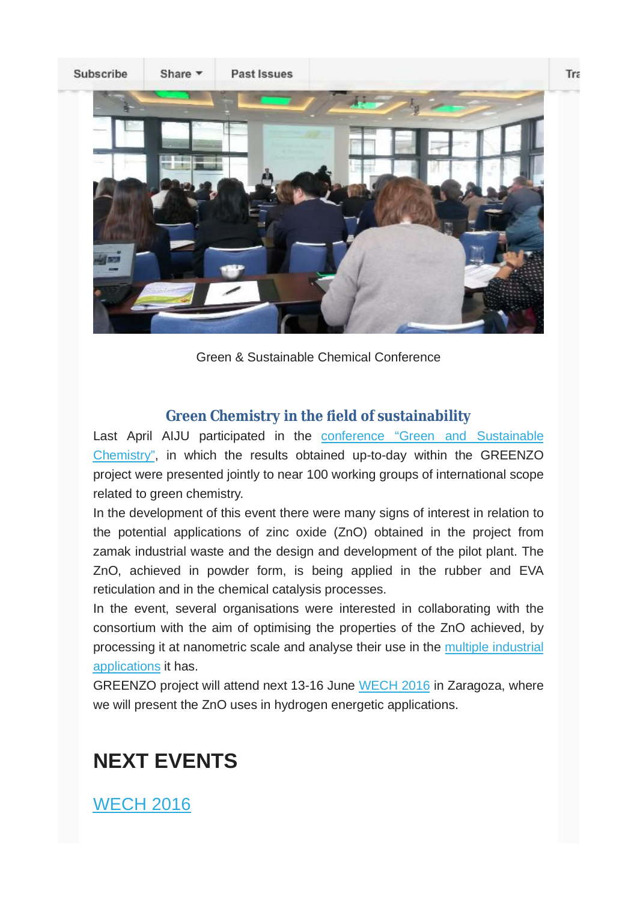

Green & Sustainable Chemical Conference

#### **Green Chemistry in the ield of sustainability**

Last April AIJU participated in the conference "Green and Sustainable Chemistry", in which the results obtained up-to-day within the GREENZO project were presented jointly to near 100 working groups of international scope related to green chemistry.

In the development of this event there were many signs of interest in relation to the potential applications of zinc oxide (ZnO) obtained in the project from zamak industrial waste and the design and development of the pilot plant. The ZnO, achieved in powder form, is being applied in the rubber and EVA reticulation and in the chemical catalysis processes.

In the event, several organisations were interested in collaborating with the consortium with the aim of optimising the properties of the ZnO achieved, by processing it at nanometric scale and analyse their use in the multiple industrial applications it has.

GREENZO project will attend next 13-16 June WECH 2016 in Zaragoza, where we will present the ZnO uses in hydrogen energetic applications.

# **NEXT EVENTS**

WECH 2016